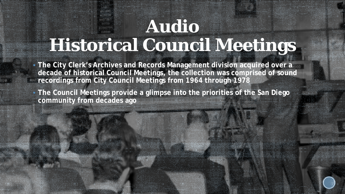## **Audio Historical Council Meetings**

- **The City Clerk's Archives and Records Management division acquired over a decade of historical Council Meetings, the collection was comprised of sound recordings from City Council Meetings from 1964 through 1978**
- **The Council Meetings provide a glimpse into the priorities of the San Diego community from decades ago**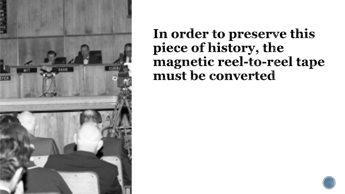

In order to preserve this piece of history, the magnetic reel-to-reel tape must be converted

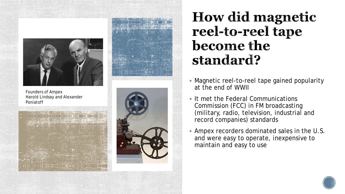

Founders of Ampex Harold Lindsay and Alexander Poniatoff







How did magnetic reel-to-reel tape become the standard?

- Magnetic reel-to-reel tape gained popularity at the end of WWII
- **If met the Federal Communications** Commission (FCC) in FM broadcasting (military, radio, television, industrial and record companies) standards
- Ampex recorders dominated sales in the U.S. and were easy to operate, inexpensive to maintain and easy to use

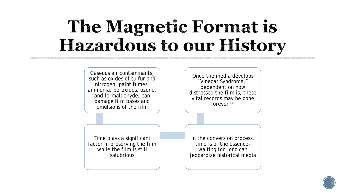## The Magnetic Format is Hazardous to our History

Gaseous air contaminants, such as oxides of sulfur and nitrogen, paint fumes, ammonia, peroxides, ozone, and formaldehyde, can damage film bases and emulsions of the film

Once the media develops "Vinegar Syndrome," dependent on how distressed the film is, these vital records may be gone forever  $(4)$ 

Time plays a significant factor in preserving the film while the film is still salubrious

In the conversion process, time is of the essencewaiting too long can jeopardize historical media

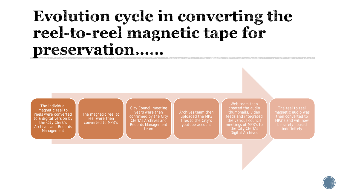### Evolution cycle in converting the reel-to-reel magnetic tape for preservation.....

The individual magnetic reel to reels were converted to a digital version by the City Clerk's Archives and Records Management

The magnetic reel to reel were then converted to MP3's

City Council meeting years were then confirmed by the City Clerk's Archives and Records Management team

Archives team then uploaded the MP3 files to the City's youtube account

Web team then created the audio thumbnails, video feeds and integrated the various council meetings of MP3's to the City Clerk's Digital Archives

The reel to reel magnetic audio was then converted to MP3's and will now be safely housed indefinitely